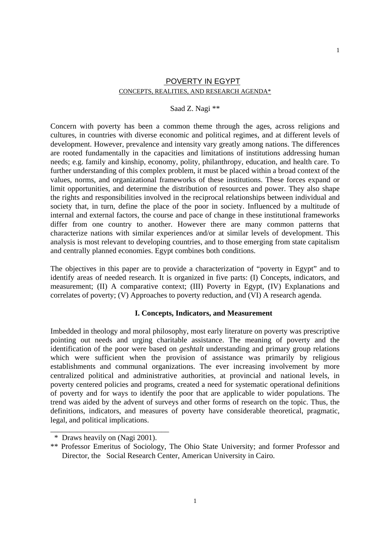# POVERTY IN EGYPT CONCEPTS, REALITIES, AND RESEARCH AGENDA\*

## Saad Z. Nagi \*\*

Concern with poverty has been a common theme through the ages, across religions and cultures, in countries with diverse economic and political regimes, and at different levels of development. However, prevalence and intensity vary greatly among nations. The differences are rooted fundamentally in the capacities and limitations of institutions addressing human needs; e.g. family and kinship, economy, polity, philanthropy, education, and health care. To further understanding of this complex problem, it must be placed within a broad context of the values, norms, and organizational frameworks of these institutions. These forces expand or limit opportunities, and determine the distribution of resources and power. They also shape the rights and responsibilities involved in the reciprocal relationships between individual and society that, in turn, define the place of the poor in society. Influenced by a multitude of internal and external factors, the course and pace of change in these institutional frameworks differ from one country to another. However there are many common patterns that characterize nations with similar experiences and/or at similar levels of development. This analysis is most relevant to developing countries, and to those emerging from state capitalism and centrally planned economies. Egypt combines both conditions.

The objectives in this paper are to provide a characterization of "poverty in Egypt" and to identify areas of needed research. It is organized in five parts: (I) Concepts, indicators, and measurement; (II) A comparative context; (III) Poverty in Egypt, (IV) Explanations and correlates of poverty; (V) Approaches to poverty reduction, and (VI) A research agenda.

## **I. Concepts, Indicators, and Measurement**

Imbedded in theology and moral philosophy, most early literature on poverty was prescriptive pointing out needs and urging charitable assistance. The meaning of poverty and the identification of the poor were based on *geshtalt* understanding and primary group relations which were sufficient when the provision of assistance was primarily by religious establishments and communal organizations. The ever increasing involvement by more centralized political and administrative authorities, at provincial and national levels, in poverty centered policies and programs, created a need for systematic operational definitions of poverty and for ways to identify the poor that are applicable to wider populations. The trend was aided by the advent of surveys and other forms of research on the topic. Thus, the definitions, indicators, and measures of poverty have considerable theoretical, pragmatic, legal, and political implications.

\_\_\_\_\_\_\_\_\_\_\_\_\_\_\_\_\_\_\_\_\_\_\_\_\_\_\_\_\_\_\_

 <sup>\*</sup> Draws heavily on (Nagi 2001).

<sup>\*\*</sup> Professor Emeritus of Sociology, The Ohio State University; and former Professor and Director, the Social Research Center, American University in Cairo.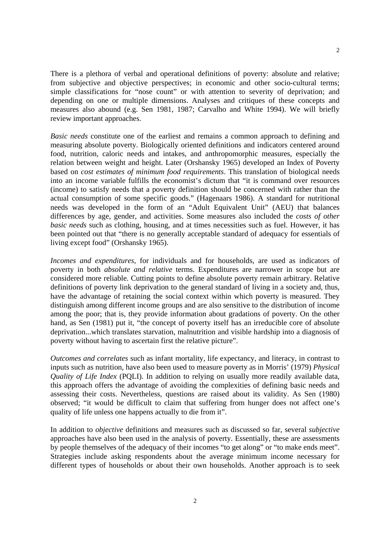There is a plethora of verbal and operational definitions of poverty: absolute and relative; from subjective and objective perspectives; in economic and other socio-cultural terms; simple classifications for "nose count" or with attention to severity of deprivation; and depending on one or multiple dimensions. Analyses and critiques of these concepts and measures also abound (e.g. Sen 1981, 1987; Carvalho and White 1994). We will briefly review important approaches.

*Basic needs* constitute one of the earliest and remains a common approach to defining and measuring absolute poverty. Biologically oriented definitions and indicators centered around food, nutrition, caloric needs and intakes, and anthropomorphic measures, especially the relation between weight and height. Later (Orshansky 1965) developed an Index of Poverty based on *cost estimates of minimum food requirements*. This translation of biological needs into an income variable fulfills the economist's dictum that "it is command over resources (income) to satisfy needs that a poverty definition should be concerned with rather than the actual consumption of some specific goods." (Hagenaars 1986). A standard for nutritional needs was developed in the form of an "Adult Equivalent Unit" (AEU) that balances differences by age, gender, and activities. Some measures also included the *costs of other basic needs* such as clothing, housing, and at times necessities such as fuel. However, it has been pointed out that "there is no generally acceptable standard of adequacy for essentials of living except food" (Orshansky 1965).

*Incomes and expenditures,* for individuals and for households, are used as indicators of poverty in both *absolute and relative* terms. Expenditures are narrower in scope but are considered more reliable. Cutting points to define absolute poverty remain arbitrary. Relative definitions of poverty link deprivation to the general standard of living in a society and, thus, have the advantage of retaining the social context within which poverty is measured. They distinguish among different income groups and are also sensitive to the distribution of income among the poor; that is, they provide information about gradations of poverty. On the other hand, as Sen (1981) put it, "the concept of poverty itself has an irreducible core of absolute deprivation...which translates starvation, malnutrition and visible hardship into a diagnosis of poverty without having to ascertain first the relative picture".

*Outcomes and correlates* such as infant mortality, life expectancy, and literacy, in contrast to inputs such as nutrition, have also been used to measure poverty as in Morris' (1979) *Physical Quality of Life Index* (POLI). In addition to relying on usually more readily available data, this approach offers the advantage of avoiding the complexities of defining basic needs and assessing their costs. Nevertheless, questions are raised about its validity. As Sen (1980) observed; "it would be difficult to claim that suffering from hunger does not affect one's quality of life unless one happens actually to die from it".

In addition to *objective* definitions and measures such as discussed so far, several *subjective* approaches have also been used in the analysis of poverty. Essentially, these are assessments by people themselves of the adequacy of their incomes "to get along" or "to make ends meet". Strategies include asking respondents about the average minimum income necessary for different types of households or about their own households. Another approach is to seek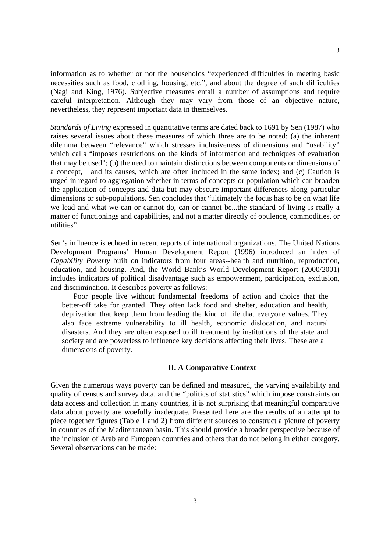information as to whether or not the households "experienced difficulties in meeting basic necessities such as food, clothing, housing, etc.", and about the degree of such difficulties (Nagi and King, 1976). Subjective measures entail a number of assumptions and require careful interpretation. Although they may vary from those of an objective nature, nevertheless, they represent important data in themselves.

*Standards of Living* expressed in quantitative terms are dated back to 1691 by Sen (1987) who raises several issues about these measures of which three are to be noted: (a) the inherent dilemma between "relevance" which stresses inclusiveness of dimensions and "usability" which calls "imposes restrictions on the kinds of information and techniques of evaluation that may be used"; (b) the need to maintain distinctions between components or dimensions of a concept, and its causes, which are often included in the same index; and (c) Caution is urged in regard to aggregation whether in terms of concepts or population which can broaden the application of concepts and data but may obscure important differences along particular dimensions or sub-populations. Sen concludes that "ultimately the focus has to be on what life we lead and what we can or cannot do, can or cannot be...the standard of living is really a matter of functionings and capabilities, and not a matter directly of opulence, commodities, or utilities".

Sen's influence is echoed in recent reports of international organizations. The United Nations Development Programs' Human Development Report (1996) introduced an index of *Capability Poverty* built on indicators from four areas--health and nutrition, reproduction, education, and housing. And, the World Bank's World Development Report (2000/2001) includes indicators of political disadvantage such as empowerment, participation, exclusion, and discrimination. It describes poverty as follows:

Poor people live without fundamental freedoms of action and choice that the better-off take for granted. They often lack food and shelter, education and health, deprivation that keep them from leading the kind of life that everyone values. They also face extreme vulnerability to ill health, economic dislocation, and natural disasters. And they are often exposed to ill treatment by institutions of the state and society and are powerless to influence key decisions affecting their lives. These are all dimensions of poverty.

#### **II. A Comparative Context**

Given the numerous ways poverty can be defined and measured, the varying availability and quality of census and survey data, and the "politics of statistics" which impose constraints on data access and collection in many countries, it is not surprising that meaningful comparative data about poverty are woefully inadequate. Presented here are the results of an attempt to piece together figures (Table 1 and 2) from different sources to construct a picture of poverty in countries of the Mediterranean basin. This should provide a broader perspective because of the inclusion of Arab and European countries and others that do not belong in either category. Several observations can be made: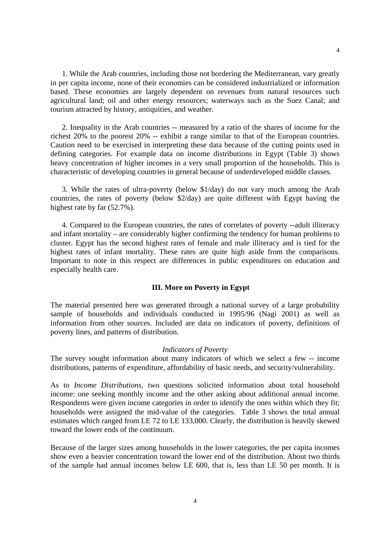1. While the Arab countries, including those not bordering the Mediterranean, vary greatly in per capita income, none of their economies can be considered industrialized or information based. These economies are largely dependent on revenues from natural resources such agricultural land; oil and other energy resources; waterways such as the Suez Canal; and tourism attracted by history, antiquities, and weather.

2. Inequality in the Arab countries -- measured by a ratio of the shares of income for the richest 20% to the poorest 20% -- exhibit a range similar to that of the European countries. Caution need to be exercised in interpreting these data because of the cutting points used in defining categories. For example data on income distributions in Egypt (Table 3) shows heavy concentration of higher incomes in a very small proportion of the households. This is characteristic of developing countries in general because of underdeveloped middle classes.

3. While the rates of ultra-poverty (below \$1/day) do not vary much among the Arab countries, the rates of poverty (below \$2/day) are quite different with Egypt having the highest rate by far (52.7%).

4. Compared to the European countries, the rates of correlates of poverty --adult illiteracy and infant mortality – are considerably higher confirming the tendency for human problems to cluster. Egypt has the second highest rates of female and male illiteracy and is tied for the highest rates of infant mortality. These rates are quite high aside from the comparisons. Important to note in this respect are differences in public expenditures on education and especially health care.

#### **III. More on Poverty in Egypt**

The material presented here was generated through a national survey of a large probability sample of households and individuals conducted in 1995/96 (Nagi 2001) as well as information from other sources. Included are data on indicators of poverty, definitions of poverty lines, and patterns of distribution.

#### *Indicators of Poverty*

The survey sought information about many indicators of which we select a few -- income distributions, patterns of expenditure, affordability of basic needs, and security/vulnerability.

As to *Income Distributions,* two questions solicited information about total household income: one seeking monthly income and the other asking about additional annual income. Respondents were given income categories in order to identify the ones within which they fit; households were assigned the mid-value of the categories. Table 3 shows the total annual estimates which ranged from LE 72 to LE 133,000. Clearly, the distribution is heavily skewed toward the lower ends of the continuum.

Because of the larger sizes among households in the lower categories, the per capita incomes show even a heavier concentration toward the lower end of the distribution. About two thirds of the sample had annual incomes below LE 600, that is, less than LE 50 per month. It is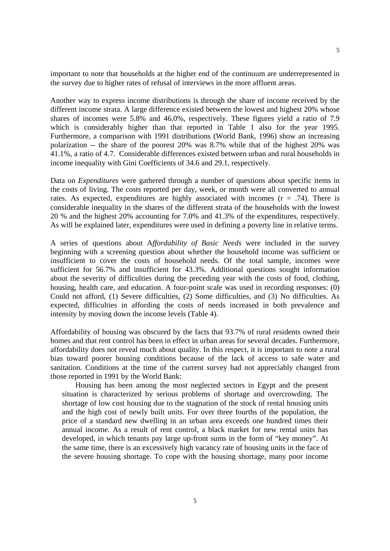important to note that households at the higher end of the continuum are underrepresented in the survey due to higher rates of refusal of interviews in the more affluent areas.

Another way to express income distributions is through the share of income received by the different income strata. A large difference existed between the lowest and highest 20% whose shares of incomes were 5.8% and 46.0%, respectively. These figures yield a ratio of 7.9 which is considerably higher than that reported in Table 1 also for the year 1995. Furthermore, a comparison with 1991 distributions (World Bank, 1996) show an increasing polarization -- the share of the poorest 20% was 8.7% while that of the highest 20% was 41.1%, a ratio of 4.7. Considerable differences existed between urban and rural households in income inequality with Gini Coefficients of 34.6 and 29.1, respectively.

Data on *Expenditures* were gathered through a number of questions about specific items in the costs of living. The costs reported per day, week, or month were all converted to annual rates. As expected, expenditures are highly associated with incomes  $(r = .74)$ . There is considerable inequality in the shares of the different strata of the households with the lowest 20 % and the highest 20% accounting for 7.0% and 41.3% of the expenditures, respectively. As will be explained later, expenditures were used in defining a poverty line in relative terms.

A series of questions about A*ffordability of Basic Needs* were included in the survey beginning with a screening question about whether the household income was sufficient or insufficient to cover the costs of household needs. Of the total sample, incomes were sufficient for 56.7% and insufficient for 43.3%. Additional questions sought information about the severity of difficulties during the preceding year with the costs of food, clothing, housing, health care, and education. A four-point scale was used in recording responses: (0) Could not afford, (1) Severe difficulties, (2) Some difficulties, and (3) No difficulties. As expected, difficulties in affording the costs of needs increased in both prevalence and intensity by moving down the income levels (Table 4).

Affordability of housing was obscured by the facts that 93.7% of rural residents owned their homes and that rent control has been in effect in urban areas for several decades. Furthermore, affordability does not reveal much about quality. In this respect, it is important to note a rural bias toward poorer housing conditions because of the lack of access to safe water and sanitation. Conditions at the time of the current survey had not appreciably changed from those reported in 1991 by the World Bank:

 Housing has been among the most neglected sectors in Egypt and the present situation is characterized by serious problems of shortage and overcrowding. The shortage of low cost housing due to the stagnation of the stock of rental housing units and the high cost of newly built units. For over three fourths of the population, the price of a standard new dwelling in an urban area exceeds one hundred times their annual income. As a result of rent control, a black market for new rental units has developed, in which tenants pay large up-front sums in the form of "key money". At the same time, there is an excessively high vacancy rate of housing units in the face of the severe housing shortage. To cope with the housing shortage, many poor income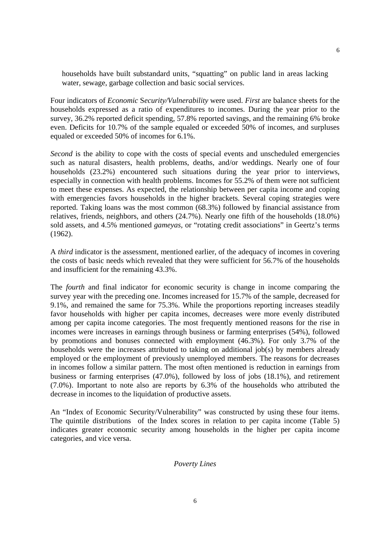households have built substandard units, "squatting" on public land in areas lacking water, sewage, garbage collection and basic social services.

Four indicators of *Economic* S*ecurity/Vulnerability* were used. *First* are balance sheets for the households expressed as a ratio of expenditures to incomes. During the year prior to the survey, 36.2% reported deficit spending, 57.8% reported savings, and the remaining 6% broke even. Deficits for 10.7% of the sample equaled or exceeded 50% of incomes, and surpluses equaled or exceeded 50% of incomes for 6.1%.

*Second* is the ability to cope with the costs of special events and unscheduled emergencies such as natural disasters, health problems, deaths, and/or weddings. Nearly one of four households (23.2%) encountered such situations during the year prior to interviews, especially in connection with health problems. Incomes for 55.2% of them were not sufficient to meet these expenses. As expected, the relationship between per capita income and coping with emergencies favors households in the higher brackets. Several coping strategies were reported. Taking loans was the most common (68.3%) followed by financial assistance from relatives, friends, neighbors, and others (24.7%). Nearly one fifth of the households (18.0%) sold assets, and 4.5% mentioned *gameyas,* or "rotating credit associations" in Geertz's terms (1962).

A *third* indicator is the assessment, mentioned earlier, of the adequacy of incomes in covering the costs of basic needs which revealed that they were sufficient for 56.7% of the households and insufficient for the remaining 43.3%.

The *fourth* and final indicator for economic security is change in income comparing the survey year with the preceding one. Incomes increased for 15.7% of the sample, decreased for 9.1%, and remained the same for 75.3%. While the proportions reporting increases steadily favor households with higher per capita incomes, decreases were more evenly distributed among per capita income categories. The most frequently mentioned reasons for the rise in incomes were increases in earnings through business or farming enterprises (54%), followed by promotions and bonuses connected with employment (46.3%). For only 3.7% of the households were the increases attributed to taking on additional job(s) by members already employed or the employment of previously unemployed members. The reasons for decreases in incomes follow a similar pattern. The most often mentioned is reduction in earnings from business or farming enterprises (47.0%), followed by loss of jobs (18.1%), and retirement (7.0%). Important to note also are reports by 6.3% of the households who attributed the decrease in incomes to the liquidation of productive assets.

An "Index of Economic Security/Vulnerability" was constructed by using these four items. The quintile distributions of the Index scores in relation to per capita income (Table 5) indicates greater economic security among households in the higher per capita income categories, and vice versa.

#### *Poverty Lines*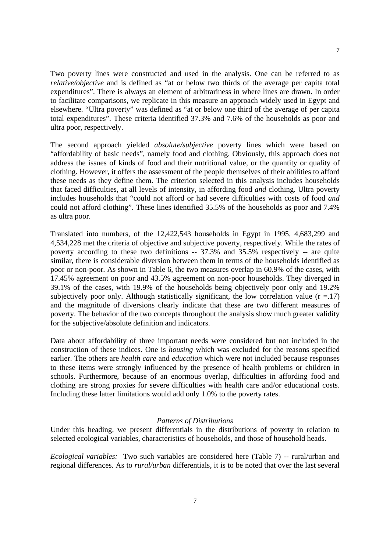Two poverty lines were constructed and used in the analysis. One can be referred to as *relative/objective* and is defined as "at or below two thirds of the average per capita total expenditures". There is always an element of arbitrariness in where lines are drawn. In order to facilitate comparisons, we replicate in this measure an approach widely used in Egypt and elsewhere. "Ultra poverty" was defined as "at or below one third of the average of per capita total expenditures". These criteria identified 37.3% and 7.6% of the households as poor and ultra poor, respectively.

The second approach yielded *absolute/subjective* poverty lines which were based on "affordability of basic needs", namely food and clothing. Obviously, this approach does not address the issues of kinds of food and their nutritional value, or the quantity or quality of clothing. However, it offers the assessment of the people themselves of their abilities to afford these needs as they define them. The criterion selected in this analysis includes households that faced difficulties, at all levels of intensity, in affording food *and* clothing. Ultra poverty includes households that "could not afford or had severe difficulties with costs of food *and* could not afford clothing". These lines identified 35.5% of the households as poor and 7.4% as ultra poor.

Translated into numbers, of the 12,422,543 households in Egypt in 1995, 4,683,299 and 4,534,228 met the criteria of objective and subjective poverty, respectively. While the rates of poverty according to these two definitions -- 37.3% and 35.5% respectively -- are quite similar, there is considerable diversion between them in terms of the households identified as poor or non-poor. As shown in Table 6, the two measures overlap in 60.9% of the cases, with 17.45% agreement on poor and 43.5% agreement on non-poor households. They diverged in 39.1% of the cases, with 19.9% of the households being objectively poor only and 19.2% subjectively poor only. Although statistically significant, the low correlation value  $(r = .17)$ and the magnitude of diversions clearly indicate that these are two different measures of poverty. The behavior of the two concepts throughout the analysis show much greater validity for the subjective/absolute definition and indicators.

Data about affordability of three important needs were considered but not included in the construction of these indices. One is *housing* which was excluded for the reasons specified earlier. The others are *health care* and *education* which were not included because responses to these items were strongly influenced by the presence of health problems or children in schools. Furthermore, because of an enormous overlap, difficulties in affording food and clothing are strong proxies for severe difficulties with health care and/or educational costs. Including these latter limitations would add only 1.0% to the poverty rates.

## *Patterns of Distributions*

Under this heading, we present differentials in the distributions of poverty in relation to selected ecological variables, characteristics of households, and those of household heads.

*Ecological variables:* Two such variables are considered here (Table 7) -- rural/urban and regional differences. As to *rural/urban* differentials, it is to be noted that over the last several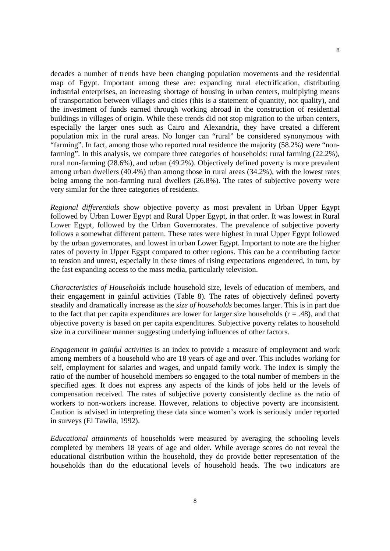decades a number of trends have been changing population movements and the residential map of Egypt. Important among these are: expanding rural electrification, distributing industrial enterprises, an increasing shortage of housing in urban centers, multiplying means of transportation between villages and cities (this is a statement of quantity, not quality), and the investment of funds earned through working abroad in the construction of residential buildings in villages of origin. While these trends did not stop migration to the urban centers, especially the larger ones such as Cairo and Alexandria, they have created a different population mix in the rural areas. No longer can "rural" be considered synonymous with "farming". In fact, among those who reported rural residence the majority (58.2%) were "nonfarming". In this analysis, we compare three categories of households: rural farming (22.2%), rural non-farming (28.6%), and urban (49.2%). Objectively defined poverty is more prevalent among urban dwellers (40.4%) than among those in rural areas (34.2%), with the lowest rates being among the non-farming rural dwellers (26.8%). The rates of subjective poverty were very similar for the three categories of residents.

*Regional differentials* show objective poverty as most prevalent in Urban Upper Egypt followed by Urban Lower Egypt and Rural Upper Egypt, in that order. It was lowest in Rural Lower Egypt, followed by the Urban Governorates. The prevalence of subjective poverty follows a somewhat different pattern. These rates were highest in rural Upper Egypt followed by the urban governorates, and lowest in urban Lower Egypt. Important to note are the higher rates of poverty in Upper Egypt compared to other regions. This can be a contributing factor to tension and unrest, especially in these times of rising expectations engendered, in turn, by the fast expanding access to the mass media, particularly television.

*Characteristics of Households* include household size, levels of education of members, and their engagement in gainful activities (Table 8). The rates of objectively defined poverty steadily and dramatically increase as the *size of households* becomes larger. This is in part due to the fact that per capita expenditures are lower for larger size households  $(r = .48)$ , and that objective poverty is based on per capita expenditures. Subjective poverty relates to household size in a curvilinear manner suggesting underlying influences of other factors.

*Engagement in gainful activities* is an index to provide a measure of employment and work among members of a household who are 18 years of age and over. This includes working for self, employment for salaries and wages, and unpaid family work. The index is simply the ratio of the number of household members so engaged to the total number of members in the specified ages. It does not express any aspects of the kinds of jobs held or the levels of compensation received. The rates of subjective poverty consistently decline as the ratio of workers to non-workers increase. However, relations to objective poverty are inconsistent. Caution is advised in interpreting these data since women's work is seriously under reported in surveys (El Tawila, 1992).

*Educational attainments* of households were measured by averaging the schooling levels completed by members 18 years of age and older. While average scores do not reveal the educational distribution within the household, they do provide better representation of the households than do the educational levels of household heads. The two indicators are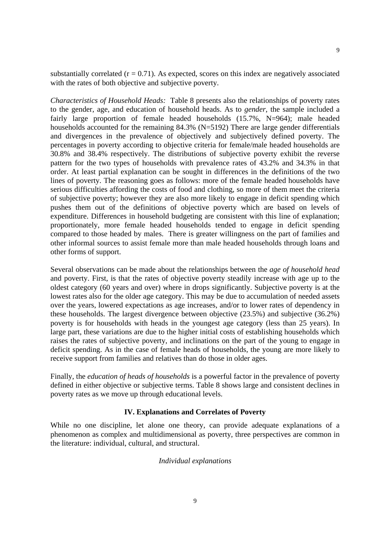substantially correlated  $(r = 0.71)$ . As expected, scores on this index are negatively associated with the rates of both objective and subjective poverty.

*Characteristics of Household Heads:* Table 8 presents also the relationships of poverty rates to the gender, age, and education of household heads. As to *gender*, the sample included a fairly large proportion of female headed households (15.7%, N=964); male headed households accounted for the remaining 84.3% (N=5192) There are large gender differentials and divergences in the prevalence of objectively and subjectively defined poverty. The percentages in poverty according to objective criteria for female/male headed households are 30.8% and 38.4% respectively. The distributions of subjective poverty exhibit the reverse pattern for the two types of households with prevalence rates of 43.2% and 34.3% in that order. At least partial explanation can be sought in differences in the definitions of the two lines of poverty. The reasoning goes as follows: more of the female headed households have serious difficulties affording the costs of food and clothing, so more of them meet the criteria of subjective poverty; however they are also more likely to engage in deficit spending which pushes them out of the definitions of objective poverty which are based on levels of expenditure. Differences in household budgeting are consistent with this line of explanation; proportionately, more female headed households tended to engage in deficit spending compared to those headed by males. There is greater willingness on the part of families and other informal sources to assist female more than male headed households through loans and other forms of support.

Several observations can be made about the relationships between the *age of household head* and poverty. First, is that the rates of objective poverty steadily increase with age up to the oldest category (60 years and over) where in drops significantly. Subjective poverty is at the lowest rates also for the older age category. This may be due to accumulation of needed assets over the years, lowered expectations as age increases, and/or to lower rates of dependency in these households. The largest divergence between objective (23.5%) and subjective (36.2%) poverty is for households with heads in the youngest age category (less than 25 years). In large part, these variations are due to the higher initial costs of establishing households which raises the rates of subjective poverty, and inclinations on the part of the young to engage in deficit spending. As in the case of female heads of households, the young are more likely to receive support from families and relatives than do those in older ages.

Finally, the *education of heads of households* is a powerful factor in the prevalence of poverty defined in either objective or subjective terms. Table 8 shows large and consistent declines in poverty rates as we move up through educational levels.

## **IV. Explanations and Correlates of Poverty**

While no one discipline, let alone one theory, can provide adequate explanations of a phenomenon as complex and multidimensional as poverty, three perspectives are common in the literature: individual, cultural, and structural.

## *Individual explanations*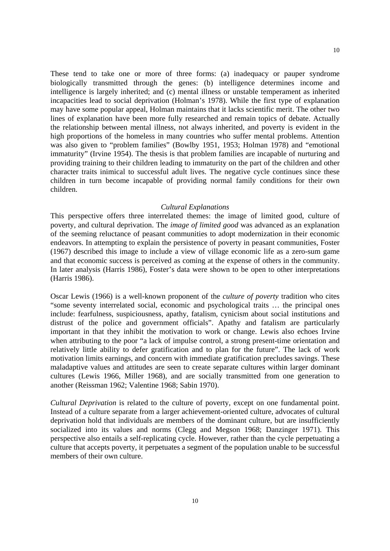These tend to take one or more of three forms: (a) inadequacy or pauper syndrome biologically transmitted through the genes: (b) intelligence determines income and intelligence is largely inherited; and (c) mental illness or unstable temperament as inherited incapacities lead to social deprivation (Holman's 1978). While the first type of explanation may have some popular appeal, Holman maintains that it lacks scientific merit. The other two lines of explanation have been more fully researched and remain topics of debate. Actually the relationship between mental illness, not always inherited, and poverty is evident in the high proportions of the homeless in many countries who suffer mental problems. Attention was also given to "problem families" (Bowlby 1951, 1953; Holman 1978) and "emotional immaturity" (Irvine 1954). The thesis is that problem families are incapable of nurturing and providing training to their children leading to immaturity on the part of the children and other character traits inimical to successful adult lives. The negative cycle continues since these children in turn become incapable of providing normal family conditions for their own children.

#### *Cultural Explanations*

This perspective offers three interrelated themes: the image of limited good, culture of poverty, and cultural deprivation. The *image of limited good* was advanced as an explanation of the seeming reluctance of peasant communities to adopt modernization in their economic endeavors. In attempting to explain the persistence of poverty in peasant communities, Foster (1967) described this image to include a view of village economic life as a zero-sum game and that economic success is perceived as coming at the expense of others in the community. In later analysis (Harris 1986), Foster's data were shown to be open to other interpretations (Harris 1986).

Oscar Lewis (1966) is a well-known proponent of the *culture of poverty* tradition who cites "some seventy interrelated social, economic and psychological traits … the principal ones include: fearfulness, suspiciousness, apathy, fatalism, cynicism about social institutions and distrust of the police and government officials". Apathy and fatalism are particularly important in that they inhibit the motivation to work or change. Lewis also echoes Irvine when attributing to the poor "a lack of impulse control, a strong present-time orientation and relatively little ability to defer gratification and to plan for the future". The lack of work motivation limits earnings, and concern with immediate gratification precludes savings. These maladaptive values and attitudes are seen to create separate cultures within larger dominant cultures (Lewis 1966, Miller 1968), and are socially transmitted from one generation to another (Reissman 1962; Valentine 1968; Sabin 1970).

*Cultural Deprivation* is related to the culture of poverty, except on one fundamental point. Instead of a culture separate from a larger achievement-oriented culture, advocates of cultural deprivation hold that individuals are members of the dominant culture, but are insufficiently socialized into its values and norms (Clegg and Megson 1968; Danzinger 1971). This perspective also entails a self-replicating cycle. However, rather than the cycle perpetuating a culture that accepts poverty, it perpetuates a segment of the population unable to be successful members of their own culture.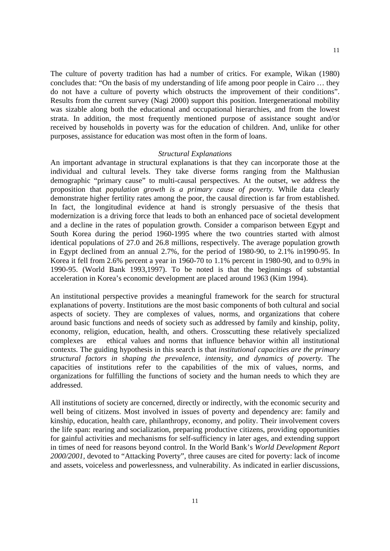The culture of poverty tradition has had a number of critics. For example, Wikan (1980) concludes that: "On the basis of my understanding of life among poor people in Cairo … they do not have a culture of poverty which obstructs the improvement of their conditions". Results from the current survey (Nagi 2000) support this position. Intergenerational mobility was sizable along both the educational and occupational hierarchies, and from the lowest strata. In addition, the most frequently mentioned purpose of assistance sought and/or received by households in poverty was for the education of children. And, unlike for other purposes, assistance for education was most often in the form of loans.

#### *Structural Explanations*

An important advantage in structural explanations is that they can incorporate those at the individual and cultural levels. They take diverse forms ranging from the Malthusian demographic "primary cause" to multi-causal perspectives. At the outset, we address the proposition that *population growth is a primary cause of poverty.* While data clearly demonstrate higher fertility rates among the poor, the causal direction is far from established. In fact, the longitudinal evidence at hand is strongly persuasive of the thesis that modernization is a driving force that leads to both an enhanced pace of societal development and a decline in the rates of population growth. Consider a comparison between Egypt and South Korea during the period 1960-1995 where the two countries started with almost identical populations of 27.0 and 26.8 millions, respectively. The average population growth in Egypt declined from an annual 2.7%, for the period of 1980-90, to 2.1% in1990-95. In Korea it fell from 2.6% percent a year in 1960-70 to 1.1% percent in 1980-90, and to 0.9% in 1990-95. (World Bank 1993,1997). To be noted is that the beginnings of substantial acceleration in Korea's economic development are placed around 1963 (Kim 1994).

An institutional perspective provides a meaningful framework for the search for structural explanations of poverty. Institutions are the most basic components of both cultural and social aspects of society. They are complexes of values, norms, and organizations that cohere around basic functions and needs of society such as addressed by family and kinship, polity, economy, religion, education, health, and others. Crosscutting these relatively specialized complexes are ethical values and norms that influence behavior within all institutional contexts. The guiding hypothesis in this search is that *institutional capacities are the primary structural factors in shaping the prevalence, intensity, and dynamics of poverty.* The capacities of institutions refer to the capabilities of the mix of values, norms, and organizations for fulfilling the functions of society and the human needs to which they are addressed.

All institutions of society are concerned, directly or indirectly, with the economic security and well being of citizens. Most involved in issues of poverty and dependency are: family and kinship, education, health care, philanthropy, economy, and polity. Their involvement covers the life span: rearing and socialization, preparing productive citizens, providing opportunities for gainful activities and mechanisms for self-sufficiency in later ages, and extending support in times of need for reasons beyond control. In the World Bank's *World Development Report 2000/2001,* devoted to "Attacking Poverty", three causes are cited for poverty: lack of income and assets, voiceless and powerlessness, and vulnerability. As indicated in earlier discussions,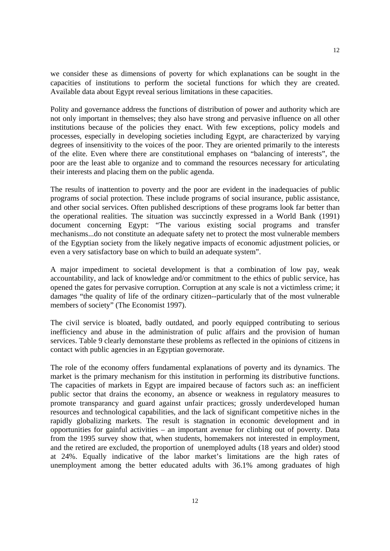we consider these as dimensions of poverty for which explanations can be sought in the capacities of institutions to perform the societal functions for which they are created. Available data about Egypt reveal serious limitations in these capacities.

Polity and governance address the functions of distribution of power and authority which are not only important in themselves; they also have strong and pervasive influence on all other institutions because of the policies they enact. With few exceptions, policy models and processes, especially in developing societies including Egypt, are characterized by varying degrees of insensitivity to the voices of the poor. They are oriented primarily to the interests of the elite. Even where there are constitutional emphases on "balancing of interests", the poor are the least able to organize and to command the resources necessary for articulating their interests and placing them on the public agenda.

The results of inattention to poverty and the poor are evident in the inadequacies of public programs of social protection. These include programs of social insurance, public assistance, and other social services. Often published descriptions of these programs look far better than the operational realities. The situation was succinctly expressed in a World Bank (1991) document concerning Egypt: "The various existing social programs and transfer mechanisms...do not constitute an adequate safety net to protect the most vulnerable members of the Egyptian society from the likely negative impacts of economic adjustment policies, or even a very satisfactory base on which to build an adequate system".

A major impediment to societal development is that a combination of low pay, weak accountability, and lack of knowledge and/or commitment to the ethics of public service, has opened the gates for pervasive corruption. Corruption at any scale is not a victimless crime; it damages "the quality of life of the ordinary citizen--particularly that of the most vulnerable members of society" (The Economist 1997).

The civil service is bloated, badly outdated, and poorly equipped contributing to serious inefficiency and abuse in the administration of pulic affairs and the provision of human services. Table 9 clearly demonstarte these problems as reflected in the opinions of citizens in contact with public agencies in an Egyptian governorate.

The role of the economy offers fundamental explanations of poverty and its dynamics. The market is the primary mechanism for this institution in performing its distributive functions. The capacities of markets in Egypt are impaired because of factors such as: an inefficient public sector that drains the economy, an absence or weakness in regulatory measures to promote transparancy and guard against unfair practices; grossly underdeveloped human resources and technological capabilities, and the lack of significant competitive niches in the rapidly globalizing markets. The result is stagnation in economic development and in opportunities for gainful activities – an important avenue for clinbing out of poverty. Data from the 1995 survey show that, when students, homemakers not interested in employment, and the retired are excluded, the proportion of unemployed adults (18 years and older) stood at 24%. Equally indicative of the labor market's limitations are the high rates of unemployment among the better educated adults with 36.1% among graduates of high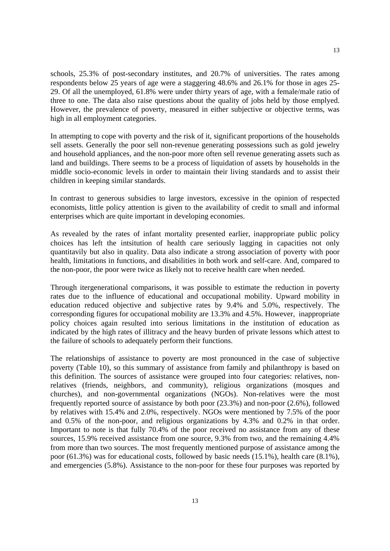schools, 25.3% of post-secondary institutes, and 20.7% of universities. The rates among respondents below 25 years of age were a staggering 48.6% and 26.1% for those in ages 25- 29. Of all the unemployed, 61.8% were under thirty years of age, with a female/male ratio of three to one. The data also raise questions about the quality of jobs held by those emplyed. However, the prevalence of poverty, measured in either subjective or objective terms, was high in all employment categories.

In attempting to cope with poverty and the risk of it, significant proportions of the households sell assets. Generally the poor sell non-revenue generating possessions such as gold jewelry and household appliances, and the non-poor more often sell revenue generating assets such as land and buildings. There seems to be a process of liquidation of assets by households in the middle socio-economic levels in order to maintain their living standards and to assist their children in keeping similar standards.

In contrast to generous subsidies to large investors, excessive in the opinion of respected economists, little policy attention is given to the availability of credit to small and informal enterprises which are quite important in developing economies.

As revealed by the rates of infant mortality presented earlier, inappropriate public policy choices has left the intsitution of health care seriously lagging in capacities not only quantitavily but also in quality. Data also indicate a strong association of poverty with poor health, limitations in functions, and disabilities in both work and self-care. And, compared to the non-poor, the poor were twice as likely not to receive health care when needed.

Through itergenerational comparisons, it was possible to estimate the reduction in poverty rates due to the influence of educational and occupational mobility. Upward mobility in education reduced objective and subjective rates by 9.4% and 5.0%, respectively. The corresponding figures for occupational mobility are 13.3% and 4.5%. However, inappropriate policy choices again resulted into serious limitations in the institution of education as indicated by the high rates of illitracy and the heavy burden of private lessons which attest to the failure of schools to adequately perform their functions.

The relationships of assistance to poverty are most pronounced in the case of subjective poverty (Table 10), so this summary of assistance from family and philanthropy is based on this definition. The sources of assistance were grouped into four categories: relatives, nonrelatives (friends, neighbors, and community), religious organizations (mosques and churches), and non-governmental organizations (NGOs). Non-relatives were the most frequently reported source of assistance by both poor (23.3%) and non-poor (2.6%), followed by relatives with 15.4% and 2.0%, respectively. NGOs were mentioned by 7.5% of the poor and 0.5% of the non-poor, and religious organizations by 4.3% and 0.2% in that order. Important to note is that fully 70.4% of the poor received no assistance from any of these sources, 15.9% received assistance from one source, 9.3% from two, and the remaining 4.4% from more than two sources. The most frequently mentioned purpose of assistance among the poor (61.3%) was for educational costs, followed by basic needs (15.1%), health care (8.1%), and emergencies (5.8%). Assistance to the non-poor for these four purposes was reported by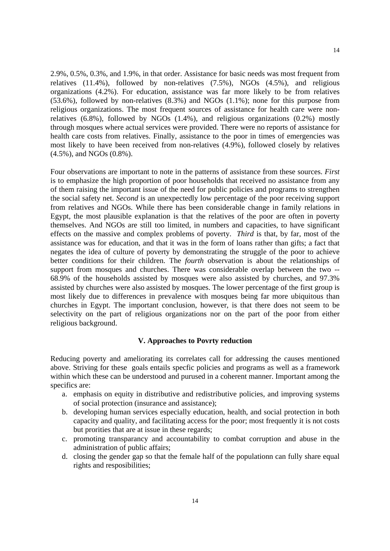2.9%, 0.5%, 0.3%, and 1.9%, in that order. Assistance for basic needs was most frequent from relatives (11.4%), followed by non-relatives (7.5%), NGOs (4.5%), and religious organizations (4.2%). For education, assistance was far more likely to be from relatives (53.6%), followed by non-relatives (8.3%) and NGOs (1.1%); none for this purpose from religious organizations. The most frequent sources of assistance for health care were nonrelatives (6.8%), followed by NGOs (1.4%), and religious organizations (0.2%) mostly through mosques where actual services were provided. There were no reports of assistance for health care costs from relatives. Finally, assistance to the poor in times of emergencies was most likely to have been received from non-relatives (4.9%), followed closely by relatives (4.5%), and NGOs (0.8%).

Four observations are important to note in the patterns of assistance from these sources. *First* is to emphasize the high proportion of poor households that received no assistance from any of them raising the important issue of the need for public policies and programs to strengthen the social safety net. *Second* is an unexpectedly low percentage of the poor receiving support from relatives and NGOs. While there has been considerable change in family relations in Egypt, the most plausible explanation is that the relatives of the poor are often in poverty themselves. And NGOs are still too limited, in numbers and capacities, to have significant effects on the massive and complex problems of poverty. *Third* is that, by far, most of the assistance was for education, and that it was in the form of loans rather than gifts; a fact that negates the idea of culture of poverty by demonstrating the struggle of the poor to achieve better conditions for their children. The *fourth* observation is about the relationships of support from mosques and churches. There was considerable overlap between the two -- 68.9% of the households assisted by mosques were also assisted by churches, and 97.3% assisted by churches were also assisted by mosques. The lower percentage of the first group is most likely due to differences in prevalence with mosques being far more ubiquitous than churches in Egypt. The important conclusion, however, is that there does not seem to be selectivity on the part of religious organizations nor on the part of the poor from either religious background.

### **V. Approaches to Povrty reduction**

Reducing poverty and ameliorating its correlates call for addressing the causes mentioned above. Striving for these goals entails specfic policies and programs as well as a framework within which these can be understood and purused in a coherent manner. Important among the specifics are:

- a. emphasis on equity in distributive and redistributive policies, and improving systems of social protection (insurance and assistance);
- b. developing human services especially education, health, and social protection in both capacity and quality, and facilitating access for the poor; most frequently it is not costs but prorities that are at issue in these regards;
- c. promoting transparancy and accountability to combat corruption and abuse in the administration of public affairs;
- d. closing the gender gap so that the female half of the populationn can fully share equal rights and resposibilities;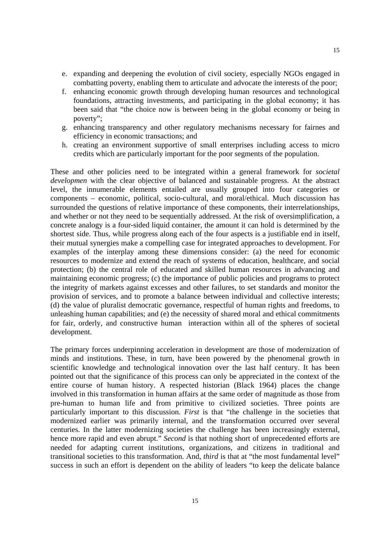- e. expanding and deepening the evolution of civil society, especially NGOs engaged in combatting poverty, enabling them to articulate and advocate the interests of the poor;
- f. enhancing economic growth through developing human resources and technological foundations, attracting investments, and participating in the global economy; it has been said that "the choice now is between being in the global economy or being in poverty";
- g. enhancing transparency and other regulatory mechanisms necessary for fairnes and efficiency in economic transactions; and
- h. creating an environment supportive of small enterprises including access to micro credits which are particularly important for the poor segments of the population.

These and other policies need to be integrated within a general framework for *societal developmen* with the clear objective of balanced and sustainable progress. At the abstract level, the innumerable elements entailed are usually grouped into four categories or components – economic, political, socio-cultural, and moral/ethical. Much discussion has surrounded the questions of relative importance of these components, their interrelationships, and whether or not they need to be sequentially addressed. At the risk of oversimplification, a concrete analogy is a four-sided liquid container, the amount it can hold is determined by the shortest side. Thus, while progress along each of the four aspects is a justifiable end in itself, their mutual synergies make a compelling case for integrated approaches to development. For examples of the interplay among these dimensions consider: (a) the need for economic resources to modernize and extend the reach of systems of education, healthcare, and social protection; (b) the central role of educated and skilled human resources in advancing and maintaining economic progress; (c) the importance of public policies and programs to protect the integrity of markets against excesses and other failures, to set standards and monitor the provision of services, and to promote a balance between individual and collective interests; (d) the value of pluralist democratic governance, respectful of human rights and freedoms, to unleashing human capabilities; and (e) the necessity of shared moral and ethical commitments for fair, orderly, and constructive human interaction within all of the spheres of societal development.

The primary forces underpinning acceleration in development are those of modernization of minds and institutions. These, in turn, have been powered by the phenomenal growth in scientific knowledge and technological innovation over the last half century. It has been pointed out that the significance of this process can only be appreciated in the context of the entire course of human history. A respected historian (Black 1964) places the change involved in this transformation in human affairs at the same order of magnitude as those from pre-human to human life and from primitive to civilized societies. Three points are particularly important to this discussion. *First* is that "the challenge in the societies that modernized earlier was primarily internal, and the transformation occurred over several centuries. In the latter modernizing societies the challenge has been increasingly external, hence more rapid and even abrupt." *Second* is that nothing short of unprecedented efforts are needed for adapting current institutions, organizations, and citizens in traditional and transitional societies to this transformation. And, *third* is that at "the most fundamental level" success in such an effort is dependent on the ability of leaders "to keep the delicate balance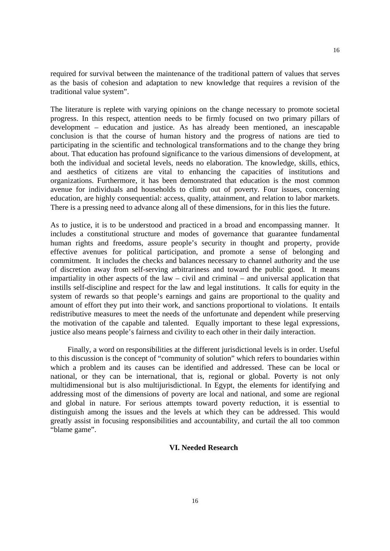required for survival between the maintenance of the traditional pattern of values that serves as the basis of cohesion and adaptation to new knowledge that requires a revision of the traditional value system".

The literature is replete with varying opinions on the change necessary to promote societal progress. In this respect, attention needs to be firmly focused on two primary pillars of development – education and justice. As has already been mentioned, an inescapable conclusion is that the course of human history and the progress of nations are tied to participating in the scientific and technological transformations and to the change they bring about. That education has profound significance to the various dimensions of development, at both the individual and societal levels, needs no elaboration. The knowledge, skills, ethics, and aesthetics of citizens are vital to enhancing the capacities of institutions and organizations. Furthermore, it has been demonstrated that education is the most common avenue for individuals and households to climb out of poverty. Four issues, concerning education, are highly consequential: access, quality, attainment, and relation to labor markets. There is a pressing need to advance along all of these dimensions, for in this lies the future.

As to justice, it is to be understood and practiced in a broad and encompassing manner. It includes a constitutional structure and modes of governance that guarantee fundamental human rights and freedoms, assure people's security in thought and property, provide effective avenues for political participation, and promote a sense of belonging and commitment. It includes the checks and balances necessary to channel authority and the use of discretion away from self-serving arbitrariness and toward the public good. It means impartiality in other aspects of the law – civil and criminal – and universal application that instills self-discipline and respect for the law and legal institutions. It calls for equity in the system of rewards so that people's earnings and gains are proportional to the quality and amount of effort they put into their work, and sanctions proportional to violations. It entails redistributive measures to meet the needs of the unfortunate and dependent while preserving the motivation of the capable and talented. Equally important to these legal expressions, justice also means people's fairness and civility to each other in their daily interaction.

Finally, a word on responsibilities at the different jurisdictional levels is in order. Useful to this discussion is the concept of "community of solution" which refers to boundaries within which a problem and its causes can be identified and addressed. These can be local or national, or they can be international, that is, regional or global. Poverty is not only multidimensional but is also multijurisdictional. In Egypt, the elements for identifying and addressing most of the dimensions of poverty are local and national, and some are regional and global in nature. For serious attempts toward poverty reduction, it is essential to distinguish among the issues and the levels at which they can be addressed. This would greatly assist in focusing responsibilities and accountability, and curtail the all too common "blame game".

## **VI. Needed Research**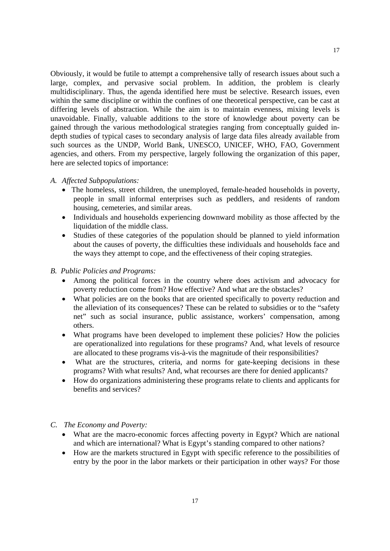Obviously, it would be futile to attempt a comprehensive tally of research issues about such a large, complex, and pervasive social problem. In addition, the problem is clearly multidisciplinary. Thus, the agenda identified here must be selective. Research issues, even within the same discipline or within the confines of one theoretical perspective, can be cast at differing levels of abstraction. While the aim is to maintain evenness, mixing levels is unavoidable. Finally, valuable additions to the store of knowledge about poverty can be gained through the various methodological strategies ranging from conceptually guided indepth studies of typical cases to secondary analysis of large data files already available from such sources as the UNDP, World Bank, UNESCO, UNICEF, WHO, FAO, Government agencies, and others. From my perspective, largely following the organization of this paper, here are selected topics of importance:

#### *A. Affected Subpopulations:*

- The homeless, street children, the unemployed, female-headed households in poverty, people in small informal enterprises such as peddlers, and residents of random housing, cemeteries, and similar areas.
- Individuals and households experiencing downward mobility as those affected by the liquidation of the middle class.
- Studies of these categories of the population should be planned to yield information about the causes of poverty, the difficulties these individuals and households face and the ways they attempt to cope, and the effectiveness of their coping strategies.

## *B. Public Policies and Programs:*

- Among the political forces in the country where does activism and advocacy for poverty reduction come from? How effective? And what are the obstacles?
- What policies are on the books that are oriented specifically to poverty reduction and the alleviation of its consequences? These can be related to subsidies or to the "safety net" such as social insurance, public assistance, workers' compensation, among others.
- What programs have been developed to implement these policies? How the policies are operationalized into regulations for these programs? And, what levels of resource are allocated to these programs vis-à-vis the magnitude of their responsibilities?
- What are the structures, criteria, and norms for gate-keeping decisions in these programs? With what results? And, what recourses are there for denied applicants?
- How do organizations administering these programs relate to clients and applicants for benefits and services?

# *C. The Economy and Poverty:*

- What are the macro-economic forces affecting poverty in Egypt? Which are national and which are international? What is Egypt's standing compared to other nations?
- How are the markets structured in Egypt with specific reference to the possibilities of entry by the poor in the labor markets or their participation in other ways? For those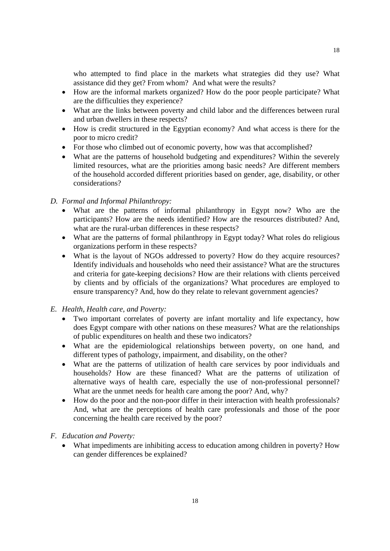who attempted to find place in the markets what strategies did they use? What assistance did they get? From whom? And what were the results?

- How are the informal markets organized? How do the poor people participate? What are the difficulties they experience?
- What are the links between poverty and child labor and the differences between rural and urban dwellers in these respects?
- How is credit structured in the Egyptian economy? And what access is there for the poor to micro credit?
- For those who climbed out of economic poverty, how was that accomplished?
- What are the patterns of household budgeting and expenditures? Within the severely limited resources, what are the priorities among basic needs? Are different members of the household accorded different priorities based on gender, age, disability, or other considerations?

# *D. Formal and Informal Philanthropy:*

- What are the patterns of informal philanthropy in Egypt now? Who are the participants? How are the needs identified? How are the resources distributed? And, what are the rural-urban differences in these respects?
- What are the patterns of formal philanthropy in Egypt today? What roles do religious organizations perform in these respects?
- What is the layout of NGOs addressed to poverty? How do they acquire resources? Identify individuals and households who need their assistance? What are the structures and criteria for gate-keeping decisions? How are their relations with clients perceived by clients and by officials of the organizations? What procedures are employed to ensure transparency? And, how do they relate to relevant government agencies?

# *E. Health, Health care, and Poverty:*

- Two important correlates of poverty are infant mortality and life expectancy, how does Egypt compare with other nations on these measures? What are the relationships of public expenditures on health and these two indicators?
- What are the epidemiological relationships between poverty, on one hand, and different types of pathology, impairment, and disability, on the other?
- What are the patterns of utilization of health care services by poor individuals and households? How are these financed? What are the patterns of utilization of alternative ways of health care, especially the use of non-professional personnel? What are the unmet needs for health care among the poor? And, why?
- How do the poor and the non-poor differ in their interaction with health professionals? And, what are the perceptions of health care professionals and those of the poor concerning the health care received by the poor?
- *F. Education and Poverty:* 
	- What impediments are inhibiting access to education among children in poverty? How can gender differences be explained?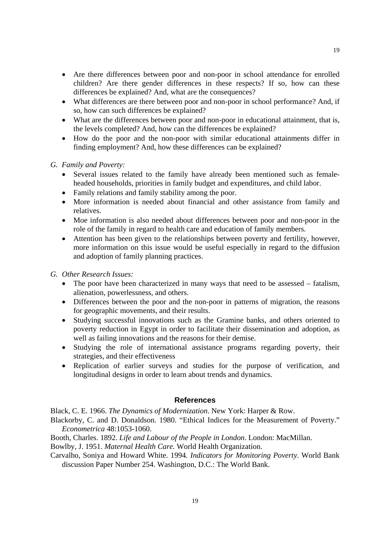- Are there differences between poor and non-poor in school attendance for enrolled children? Are there gender differences in these respects? If so, how can these differences be explained? And, what are the consequences?
- What differences are there between poor and non-poor in school performance? And, if so, how can such differences be explained?
- What are the differences between poor and non-poor in educational attainment, that is, the levels completed? And, how can the differences be explained?
- How do the poor and the non-poor with similar educational attainments differ in finding employment? And, how these differences can be explained?

## *G. Family and Poverty:*

- Several issues related to the family have already been mentioned such as femaleheaded households, priorities in family budget and expenditures, and child labor.
- Family relations and family stability among the poor.
- More information is needed about financial and other assistance from family and relatives.
- Moe information is also needed about differences between poor and non-poor in the role of the family in regard to health care and education of family members.
- Attention has been given to the relationships between poverty and fertility, however, more information on this issue would be useful especially in regard to the diffusion and adoption of family planning practices.

### *G. Other Research Issues:*

- The poor have been characterized in many ways that need to be assessed fatalism, alienation, powerlessness, and others.
- Differences between the poor and the non-poor in patterns of migration, the reasons for geographic movements, and their results.
- Studying successful innovations such as the Gramine banks, and others oriented to poverty reduction in Egypt in order to facilitate their dissemination and adoption, as well as failing innovations and the reasons for their demise.
- Studying the role of international assistance programs regarding poverty, their strategies, and their effectiveness
- Replication of earlier surveys and studies for the purpose of verification, and longitudinal designs in order to learn about trends and dynamics.

## **References**

Black, C. E. 1966. *The Dynamics of Modernization*. New York: Harper & Row.

Blackorby, C. and D. Donaldson. 1980. "Ethical Indices for the Measurement of Poverty." *Econometrica* 48:1053-1060.

Booth, Charles. 1892. *Life and Labour of the People in London*. London: MacMillan.

Bowlby, J. 1951. *Maternal Health Care.* World Health Organization.

Carvalho, Soniya and Howard White. 1994. *Indicators for Monitoring Poverty*. World Bank discussion Paper Number 254. Washington, D.C.: The World Bank.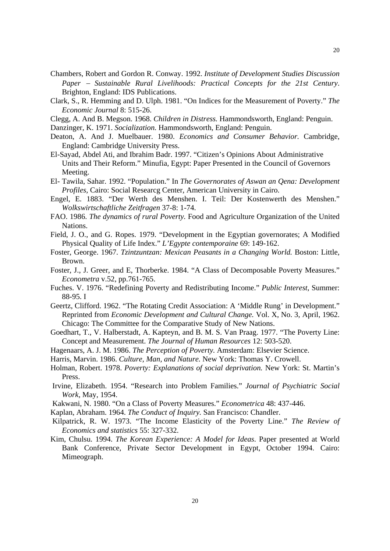- Chambers, Robert and Gordon R. Conway. 1992. *Institute of Development Studies Discussion Paper* − *Sustainable Rural Livelihoods: Practical Concepts for the 21st Century*. Brighton, England: IDS Publications.
- Clark, S., R. Hemming and D. Ulph. 1981. "On Indices for the Measurement of Poverty." *The Economic Journal* 8: 515-26.

Clegg, A. And B. Megson. 1968. *Children in Distress.* Hammondsworth, England: Penguin.

Danzinger, K. 1971. *Socialization.* Hammondsworth, England: Penguin.

- Deaton, A. And J. Muelbauer. 1980. *Economics and Consumer Behavior.* Cambridge, England: Cambridge University Press.
- El-Sayad, Abdel Ati, and Ibrahim Badr. 1997. "Citizen's Opinions About Administrative Units and Their Reform." Minufia, Egypt: Paper Presented in the Council of Governors Meeting.
- El- Tawila, Sahar. 1992. "Population." In *The Governorates of Aswan an Qena: Development Profiles,* Cairo: Social Researcg Center, American University in Cairo.
- Engel, E. 1883. "Der Werth des Menshen. I. Teil: Der Kostenwerth des Menshen." *Wolkswirtschaftliche Zeitfragen* 37-8: 1-74.
- FAO. 1986. *The dynamics of rural Poverty.* Food and Agriculture Organization of the United Nations.
- Field, J. O., and G. Ropes. 1979. "Development in the Egyptian governorates; A Modified Physical Quality of Life Index." *L'Egypte contemporaine* 69: 149-162.
- Foster, George. 1967. *Tzintzuntzan: Mexican Peasants in a Changing World.* Boston: Little, Brown.
- Foster, J., J. Greer, and E, Thorberke. 1984. "A Class of Decomposable Poverty Measures." *Econometra* v.52, pp.761-765.
- Fuches. V. 1976. "Redefining Poverty and Redistributing Income." *Public Interest*, Summer: 88-95. I
- Geertz, Clifford. 1962. "The Rotating Credit Association: A 'Middle Rung' in Development." Reprinted from *Economic Development and Cultural Change.* Vol. X, No. 3, April, 1962. Chicago: The Committee for the Comparative Study of New Nations.
- Goedhart, T., V. Halberstadt, A. Kapteyn, and B. M. S. Van Praag. 1977. "The Poverty Line: Concept and Measurement. *The Journal of Human Resources* 12: 503-520.
- Hagenaars, A. J. M. 1986. *The Perception of Poverty.* Amsterdam: Elsevier Science.
- Harris, Marvin. 1986. *Culture, Man, and Nature.* New York: Thomas Y. Crowell.
- Holman, Robert. 1978. *Poverty: Explanations of social deprivation.* New York: St. Martin's Press.
- Irvine, Elizabeth. 1954. "Research into Problem Families." *Journal of Psychiatric Social Work*, May, 1954.
- Kakwani, N. 1980. "On a Class of Poverty Measures." *Econometrica* 48: 437-446.
- Kaplan, Abraham. 1964. *The Conduct of Inquiry.* San Francisco: Chandler.
- Kilpatrick, R. W. 1973. "The Income Elasticity of the Poverty Line." *The Review of Economics and statistics* 55: 327-332.
- Kim, Chulsu. 1994. *The Korean Experience: A Model for Ideas*. Paper presented at World Bank Conference, Private Sector Development in Egypt, October 1994. Cairo: Mimeograph.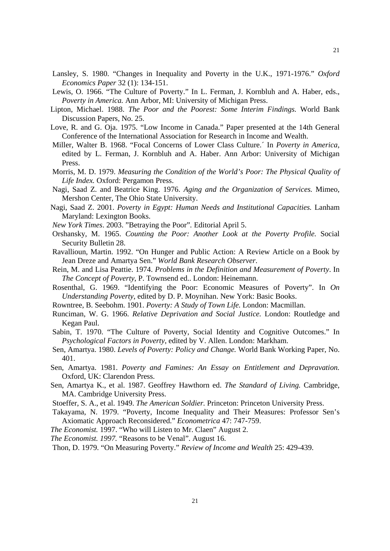- Lansley, S. 1980. "Changes in Inequality and Poverty in the U.K., 1971-1976." *Oxford Economics Paper* 32 (1): 134-151.
- Lewis, O. 1966. "The Culture of Poverty." In L. Ferman, J. Kornbluh and A. Haber, eds., *Poverty in America.* Ann Arbor, MI: University of Michigan Press.
- Lipton, Michael. 1988. *The Poor and the Poorest: Some Interim Findings.* World Bank Discussion Papers, No. 25.
- Love, R. and G. Oja. 1975. "Low Income in Canada." Paper presented at the 14th General Conference of the International Association for Research in Income and Wealth.
- Miller, Walter B. 1968. "Focal Concerns of Lower Class Culture.´ In *Poverty in America*, edited by L. Ferman, J. Kornbluh and A. Haber. Ann Arbor: University of Michigan Press.
- Morris, M. D. 1979. *Measuring the Condition of the World's Poor: The Physical Quality of Life Index.* Oxford: Pergamon Press.
- Nagi, Saad Z. and Beatrice King. 1976. *Aging and the Organization of Services.* Mimeo, Mershon Center, The Ohio State University.
- Nagi, Saad Z. 2001. *Poverty in Egypt: Human Needs and Institutional Capacities.* Lanham Maryland: Lexington Books.
- *New York Times*. 2003. "Betraying the Poor"*.* Editorial April 5.
- Orshansky, M. 1965. *Counting the Poor: Another Look at the Poverty Profile.* Social Security Bulletin 28.
- Ravallioun, Martin. 1992. "On Hunger and Public Action: A Review Article on a Book by Jean Dreze and Amartya Sen." *World Bank Research Observer*.
- Rein, M. and Lisa Peattie. 1974. *Problems in the Definition and Measurement of Poverty*. In *The Concept of Poverty*, P. Townsend ed.. London: Heinemann.
- Rosenthal, G. 1969. "Identifying the Poor: Economic Measures of Poverty". In *On Understanding Poverty*, edited by D. P. Moynihan. New York: Basic Books.
- Rowntree, B. Seebohm. 1901. *Poverty: A Study of Town Life.* London: Macmillan.
- Runciman, W. G. 1966. *Relative Deprivation and Social Justice.* London: Routledge and Kegan Paul.
- Sabin, T. 1970. "The Culture of Poverty, Social Identity and Cognitive Outcomes." In *Psychological Factors in Poverty*, edited by V. Allen. London: Markham.
- Sen, Amartya. 1980. *Levels of Poverty: Policy and Change.* World Bank Working Paper, No. 401.
- Sen, Amartya. 1981. *Poverty and Famines: An Essay on Entitlement and Depravation.* Oxford, UK: Clarendon Press.
- Sen, Amartya K., et al. 1987. Geoffrey Hawthorn ed. *The Standard of Living.* Cambridge, MA. Cambridge University Press.
- Stoeffer, S. A., et al. 1949. *The American Soldier.* Princeton: Princeton University Press.
- Takayama, N. 1979. "Poverty, Income Inequality and Their Measures: Professor Sen's Axiomatic Approach Reconsidered." *Econometrica* 47: 747-759.
- *The Economist.* 1997. "Who will Listen to Mr. Claen" August 2.
- *The Economist. 1997.* "Reasons to be Venal". August 16.

Thon, D. 1979. "On Measuring Poverty." *Review of Income and Wealth* 25: 429-439.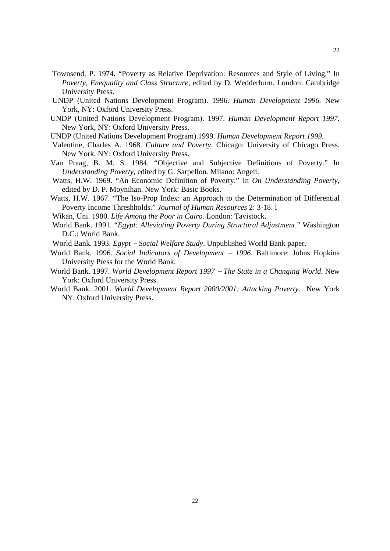- Townsend, P. 1974. "Poverty as Relative Deprivation: Resources and Style of Living." In *Poverty, Enequality and Class Structure*, edited by D. Wedderburn. London: Cambridge University Press.
- UNDP (United Nations Development Program). 1996. *Human Development 1996.* New York, NY: Oxford University Press.
- UNDP (United Nations Development Program). 1997. *Human Development Report 1997.* New York, NY: Oxford University Press.
- UNDP (United Nations Development Program).1999. *Human Development Report 1999.*
- Valentine, Charles A. 1968. *Culture and Poverty.* Chicago: University of Chicago Press. New York, NY: Oxford University Press.
- Van Praag, B. M. S. 1984. "Objective and Subjective Definitions of Poverty." In *Understanding Poverty,* edited by G. Sarpellon. Milano: Angeli.
- Watts, H.W. 1969. "An Economic Definition of Poverty." In *On Understanding Poverty,* edited by D. P. Moynihan. New York: Basic Books.
- Watts, H.W. 1967. "The Iso-Prop Index: an Approach to the Determination of Differential Poverty Income Threshholds." *Journal of Human Resources* 2: 3-18. I
- Wikan, Uni. 1980. *Life Among the Poor in Cairo.* London: Tavistock.
- World Bank. 1991. "*Egypt: Alleviating Poverty During Structural Adjustment*." Washington D.C.: World Bank.
- World Bank. 1993. *Egypt* − *Social Welfare Study*. Unpublished World Bank paper.
- World Bank. 1996. *Social Indicators of Development* − *1996*. Baltimore: Johns Hopkins University Press for the World Bank.
- World Bank. 1997. *World Development Report 1997* − *The State in a Changing World*. New York: Oxford University Press.
- World Bank. 2001. *World Development Report 2000/2001: Attacking Poverty.* New York NY: Oxford University Press.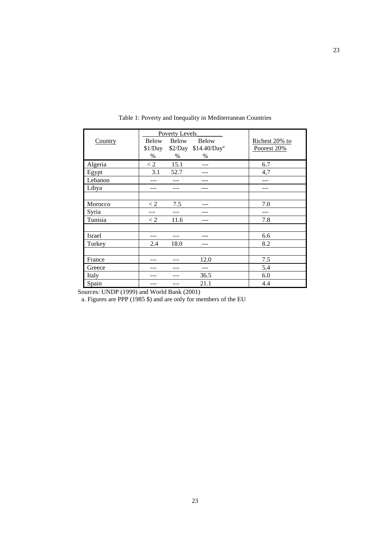|               |              | Poverty Levels |                                  |                |
|---------------|--------------|----------------|----------------------------------|----------------|
| Country       | <b>Below</b> | <b>Below</b>   | <b>Below</b>                     | Richest 20% to |
|               | \$1/Day      |                | \$2/Day \$14.40/Day <sup>a</sup> | Poorest 20%    |
|               | $\%$         | $\%$           | $\%$                             |                |
| Algeria       | $\lt 2$      | 15.1           |                                  | 6.7            |
| Egypt         | 3.1          | 52.7           |                                  | 4,7            |
| Lebanon       |              |                |                                  |                |
| Libya         |              |                |                                  |                |
|               |              |                |                                  |                |
| Morocco       | $\lt 2$      | 7.5            |                                  | 7.0            |
| Syria         |              |                |                                  |                |
| Tunisia       | $\lt 2$      | 11.6           |                                  | 7.8            |
|               |              |                |                                  |                |
| <b>Israel</b> |              |                |                                  | 6.6            |
| Turkey        | 2.4          | 18.0           | ---                              | 8.2            |
|               |              |                |                                  |                |
| France        |              |                | 12.0                             | 7.5            |
| Greece        |              |                |                                  | 5.4            |
| Italy         |              |                | 36.5                             | 6.0            |
| Spain         |              |                | 21.1                             | 4.4            |

Table 1: Poverty and Inequality in Mediterranean Countries

Sources: UNDP (1999) and World Bank (2001)

a. Figures are PPP (1985 \$) and are only for members of the EU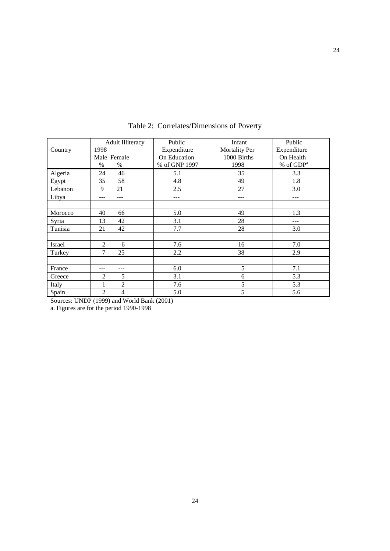|         | <b>Adult Illiteracy</b> | Public        | Infant               | Public      |
|---------|-------------------------|---------------|----------------------|-------------|
| Country | 1998                    | Expenditure   | <b>Mortality Per</b> | Expenditure |
|         | Male Female             | On Education  | 1000 Births          | On Health   |
|         | $\%$<br>$\%$            | % of GNP 1997 | 1998                 | % of $GDPa$ |
| Algeria | 46<br>24                | 5.1           | 35                   | 3.3         |
| Egypt   | 58<br>35                | 4.8           | 49                   | 1.8         |
| Lebanon | 21<br>9                 | 2.5           | 27                   | 3.0         |
| Libya   |                         | ---           |                      | ---         |
|         |                         |               |                      |             |
| Morocco | 40<br>66                | 5.0           | 49                   | 1.3         |
| Syria   | 42<br>13                | 3.1           | 28                   |             |
| Tunisia | 42<br>21                | 7.7           | 28                   | 3.0         |
|         |                         |               |                      |             |
| Israel  | 2<br>6                  | 7.6           | 16                   | 7.0         |
| Turkey  | 7<br>25                 | 2.2           | 38                   | 2.9         |
|         |                         |               |                      |             |
| France  |                         | 6.0           | 5                    | 7.1         |
| Greece  | $\overline{c}$<br>5     | 3.1           | 6                    | 5.3         |
| Italy   | $\overline{c}$          | 7.6           | 5                    | 5.3         |
| Spain   | $\mathfrak{D}$<br>4     | 5.0           | 5                    | 5.6         |

Table 2: Correlates/Dimensions of Poverty

Sources: UNDP (1999) and World Bank (2001)

a. Figures are for the period 1990-1998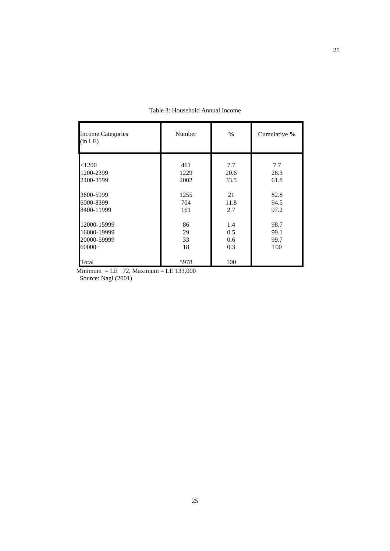| <b>Income Categories</b><br>(in LE) | Number | $\frac{0}{0}$ | Cumulative % |
|-------------------------------------|--------|---------------|--------------|
| < 1200                              | 461    | 7.7           | 7.7          |
| 1200-2399                           | 1229   | 20.6          | 28.3         |
| 2400-3599                           | 2002   | 33.5          | 61.8         |
| 3600-5999                           | 1255   | 21            | 82.8         |
| 6000-8399                           | 704    | 11.8          | 94.5         |
| 8400-11999                          | 161    | 2.7           | 97.2         |
|                                     | 86     | 1.4           | 98.7         |
| 12000-15999<br>16000-19999          | 29     | $0.5^{\circ}$ | 99.1         |
| 20000-59999                         | 33     | 0.6           | 99.7         |
| $60000+$                            | 18     | 0.3           | 100          |
| Total                               | 5978   | 100           |              |

Table 3: Household Annual Income

Minimum = LE  $72$ , Maximum = LE 133,000 Source: Nagi (2001)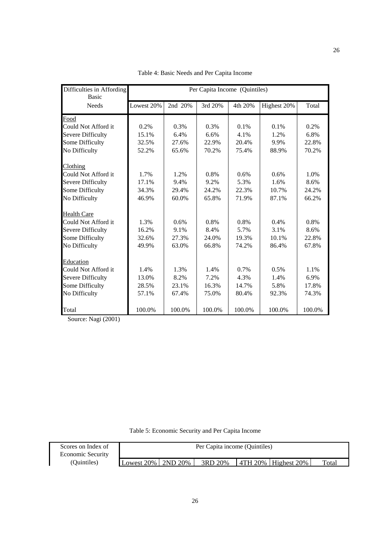| Difficulties in Affording<br><b>Basic</b> | Per Capita Income (Quintiles) |         |         |         |             |        |
|-------------------------------------------|-------------------------------|---------|---------|---------|-------------|--------|
| <b>Needs</b>                              | Lowest 20%                    | 2nd 20% | 3rd 20% | 4th 20% | Highest 20% | Total  |
| Food                                      |                               |         |         |         |             |        |
| Could Not Afford it                       | 0.2%                          | 0.3%    | 0.3%    | 0.1%    | 0.1%        | 0.2%   |
| <b>Severe Difficulty</b>                  | 15.1%                         | 6.4%    | 6.6%    | 4.1%    | 1.2%        | 6.8%   |
| Some Difficulty                           | 32.5%                         | 27.6%   | 22.9%   | 20.4%   | 9.9%        | 22.8%  |
| No Difficulty                             | 52.2%                         | 65.6%   | 70.2%   | 75.4%   | 88.9%       | 70.2%  |
| Clothing                                  |                               |         |         |         |             |        |
| Could Not Afford it                       | 1.7%                          | 1.2%    | 0.8%    | 0.6%    | 0.6%        | 1.0%   |
| <b>Severe Difficulty</b>                  | 17.1%                         | 9.4%    | 9.2%    | 5.3%    | 1.6%        | 8.6%   |
| Some Difficulty                           | 34.3%                         | 29.4%   | 24.2%   | 22.3%   | 10.7%       | 24.2%  |
| No Difficulty                             | 46.9%                         | 60.0%   | 65.8%   | 71.9%   | 87.1%       | 66.2%  |
| Health Care                               |                               |         |         |         |             |        |
| Could Not Afford it                       | 1.3%                          | 0.6%    | 0.8%    | 0.8%    | 0.4%        | 0.8%   |
| <b>Severe Difficulty</b>                  | 16.2%                         | 9.1%    | 8.4%    | 5.7%    | 3.1%        | 8.6%   |
| Some Difficulty                           | 32.6%                         | 27.3%   | 24.0%   | 19.3%   | 10.1%       | 22.8%  |
| No Difficulty                             | 49.9%                         | 63.0%   | 66.8%   | 74.2%   | 86.4%       | 67.8%  |
| Education                                 |                               |         |         |         |             |        |
| Could Not Afford it                       | 1.4%                          | 1.3%    | 1.4%    | 0.7%    | 0.5%        | 1.1%   |
| <b>Severe Difficulty</b>                  | 13.0%                         | 8.2%    | 7.2%    | 4.3%    | 1.4%        | 6.9%   |
| Some Difficulty                           | 28.5%                         | 23.1%   | 16.3%   | 14.7%   | 5.8%        | 17.8%  |
| No Difficulty                             | 57.1%                         | 67.4%   | 75.0%   | 80.4%   | 92.3%       | 74.3%  |
| Total                                     | 100.0%                        | 100.0%  | 100.0%  | 100.0%  | 100.0%      | 100.0% |

Table 4: Basic Needs and Per Capita Income

Table 5: Economic Security and Per Capita Income

| Scores on Index of       | Per Capita income (Quintiles) |  |         |  |                                       |       |
|--------------------------|-------------------------------|--|---------|--|---------------------------------------|-------|
| <b>Economic Security</b> |                               |  |         |  |                                       |       |
| (Ouintiles)              | Lowest $20\%$   $2ND$ $20\%$  |  | 3RD 20% |  | $\overline{14}$ 4TH 20%   Highest 20% | Total |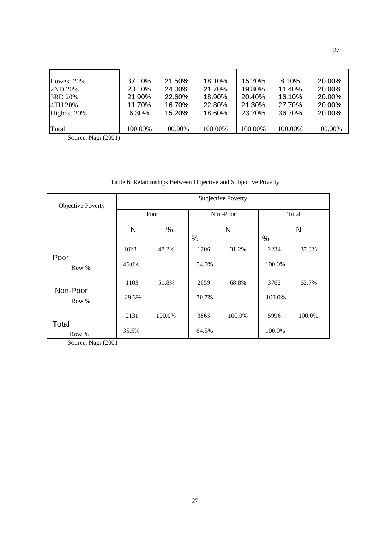| Lowest 20%     | 37.10%  | 21.50%        | 18.10%  | 15.20%  | 8.10%   | 20.00%  |
|----------------|---------|---------------|---------|---------|---------|---------|
| <b>2ND 20%</b> | 23.10%  | 24.00%        | 21.70%  | 19.80%  | 11.40%  | 20.00%  |
| 3RD 20%        | 21.90%  | <b>22.60%</b> | 18.90%  | 20.40%  | 16.10%  | 20.00%  |
| 4TH 20%        | 11.70%  | 16.70%        | 22.80%  | 21.30%  | 27.70%  | 20.00%  |
| Highest 20%    | 6.30%   | 15.20%        | 18.60%  | 23.20%  | 36.70%  | 20.00%  |
| Total          | 100.00% | 100.00%       | 100.00% | 100.00% | 100.00% | 100.00% |

# Table 6: Relationships Between Objective and Subjective Poverty

| <b>Objective Poverty</b> | Subjective Poverty |        |       |          |        |        |
|--------------------------|--------------------|--------|-------|----------|--------|--------|
|                          | Poor               |        |       | Non-Poor | Total  |        |
|                          | N                  | %      |       | N        |        | N      |
|                          |                    |        | $\%$  |          | $\%$   |        |
|                          | 1028               | 48.2%  | 1206  | 31.2%    | 2234   | 37.3%  |
| Poor<br>Row %            | 46.0%              |        | 54.0% |          | 100.0% |        |
| Non-Poor                 | 1103               | 51.8%  | 2659  | 68.8%    | 3762   | 62.7%  |
| Row %                    | 29.3%              |        | 70.7% |          | 100.0% |        |
| Total                    | 2131               | 100.0% | 3865  | 100.0%   | 5996   | 100.0% |
| Row %                    | 35.5%              |        | 64.5% |          | 100.0% |        |

Source: Nagi (2001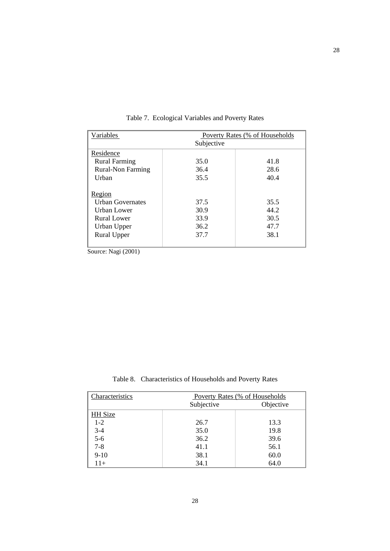| Variables                                                                                            | Poverty Rates (% of Households<br>Subjective |                                      |  |
|------------------------------------------------------------------------------------------------------|----------------------------------------------|--------------------------------------|--|
| Residence                                                                                            |                                              |                                      |  |
| <b>Rural Farming</b>                                                                                 | 35.0                                         | 41.8                                 |  |
| <b>Rural-Non Farming</b>                                                                             | 36.4                                         | 28.6                                 |  |
| Urban                                                                                                | 35.5                                         | 40.4                                 |  |
| Region<br>Urban Governates<br>Urban Lower<br><b>Rural Lower</b><br>Urban Upper<br><b>Rural Upper</b> | 37.5<br>30.9<br>33.9<br>36.2<br>37.7         | 35.5<br>44.2<br>30.5<br>47.7<br>38.1 |  |
| ÷<br>$\cdots$                                                                                        |                                              |                                      |  |

Table 7. Ecological Variables and Poverty Rates

Table 8. Characteristics of Households and Poverty Rates

| Characteristics | Poverty Rates (% of Households |           |  |  |
|-----------------|--------------------------------|-----------|--|--|
|                 | Subjective                     | Objective |  |  |
| <b>HH</b> Size  |                                |           |  |  |
| $1-2$           | 26.7                           | 13.3      |  |  |
| $3-4$<br>$5-6$  | 35.0                           | 19.8      |  |  |
|                 | 36.2                           | 39.6      |  |  |
| $7 - 8$         | 41.1                           | 56.1      |  |  |
| $9-10$          | 38.1                           | 60.0      |  |  |
| 11+             | 34.1                           | 64.0      |  |  |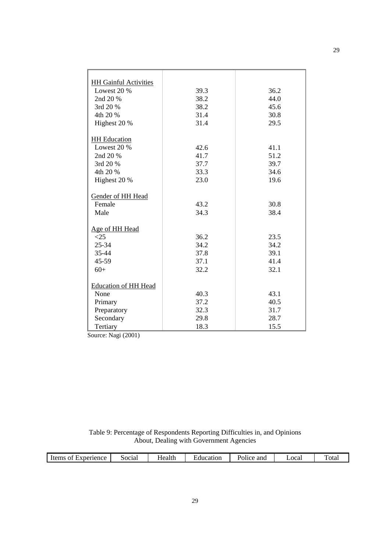| <b>HH Gainful Activities</b> |      |      |
|------------------------------|------|------|
| Lowest $20%$                 | 39.3 | 36.2 |
| 2nd 20 %                     | 38.2 | 44.0 |
| 3rd 20 %                     | 38.2 | 45.6 |
| 4th 20 %                     | 31.4 | 30.8 |
| Highest 20 %                 | 31.4 | 29.5 |
|                              |      |      |
| <b>HH</b> Education          |      |      |
| Lowest 20 %                  | 42.6 | 41.1 |
| 2nd 20 %                     | 41.7 | 51.2 |
| 3rd 20 %                     | 37.7 | 39.7 |
| 4th 20 %                     | 33.3 | 34.6 |
| Highest 20 %                 | 23.0 | 19.6 |
|                              |      |      |
| Gender of HH Head            |      |      |
| Female                       | 43.2 | 30.8 |
| Male                         | 34.3 | 38.4 |
|                              |      |      |
| Age of HH Head               |      |      |
| <25                          | 36.2 | 23.5 |
| 25-34                        | 34.2 | 34.2 |
| 35-44                        | 37.8 | 39.1 |
| 45-59                        | 37.1 | 41.4 |
| $60+$                        | 32.2 | 32.1 |
|                              |      |      |
| <b>Education of HH Head</b>  |      |      |
| None                         | 40.3 | 43.1 |
| Primary                      | 37.2 | 40.5 |
| Preparatory                  | 32.3 | 31.7 |
| Secondary                    | 29.8 | 28.7 |
| Tertiary                     | 18.3 | 15.5 |
|                              |      |      |

Table 9: Percentage of Respondents Reporting Difficulties in, and Opinions About, Dealing with Government Agencies

|  | Items of Experience | 50c1a1 | Health | ±ducatıon | and<br>Police | Local | otal |
|--|---------------------|--------|--------|-----------|---------------|-------|------|
|--|---------------------|--------|--------|-----------|---------------|-------|------|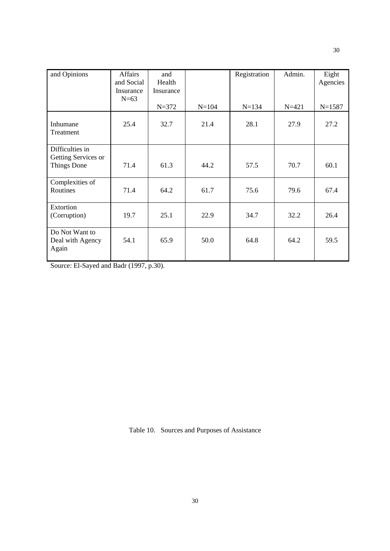| and Opinions                                          | <b>Affairs</b><br>and Social<br>Insurance<br>$N=63$ | and<br>Health<br>Insurance |           | Registration | Admin.    | Eight<br>Agencies |
|-------------------------------------------------------|-----------------------------------------------------|----------------------------|-----------|--------------|-----------|-------------------|
|                                                       |                                                     | $N = 372$                  | $N = 104$ | $N = 134$    | $N = 421$ | $N = 1587$        |
| Inhumane<br>Treatment                                 | 25.4                                                | 32.7                       | 21.4      | 28.1         | 27.9      | 27.2              |
| Difficulties in<br>Getting Services or<br>Things Done | 71.4                                                | 61.3                       | 44.2      | 57.5         | 70.7      | 60.1              |
| Complexities of<br>Routines                           | 71.4                                                | 64.2                       | 61.7      | 75.6         | 79.6      | 67.4              |
| Extortion<br>(Corruption)                             | 19.7                                                | 25.1                       | 22.9      | 34.7         | 32.2      | 26.4              |
| Do Not Want to<br>Deal with Agency<br>Again           | 54.1                                                | 65.9                       | 50.0      | 64.8         | 64.2      | 59.5              |

Source: El-Sayed and Badr (1997, p.30).

Table 10. Sources and Purposes of Assistance